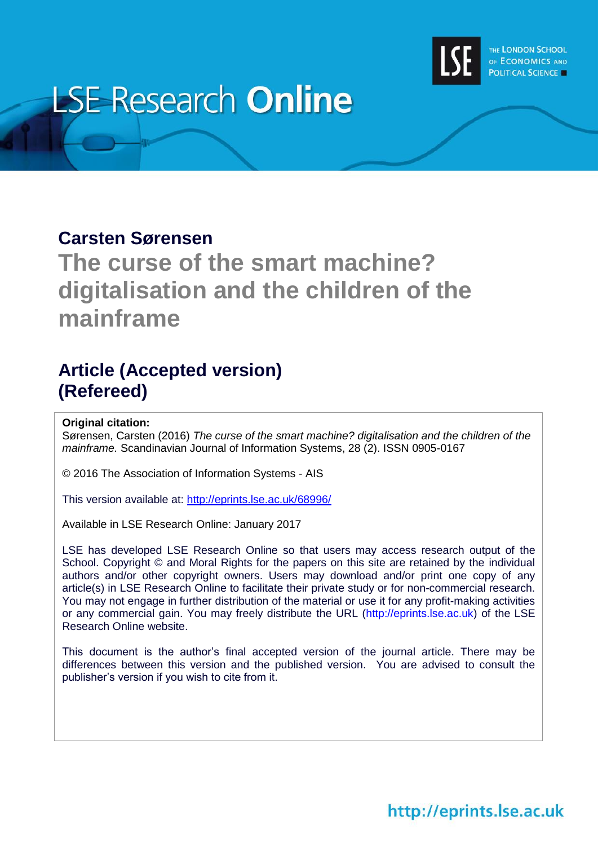

# **LSE Research Online**

# **Carsten Sørensen**

# **The curse of the smart machine? digitalisation and the children of the mainframe**

# **Article (Accepted version) (Refereed)**

#### **Original citation:**

Sørensen, Carsten (2016) *The curse of the smart machine? digitalisation and the children of the mainframe.* Scandinavian Journal of Information Systems, 28 (2). ISSN 0905-0167

© 2016 The Association of Information Systems - AIS

This version available at:<http://eprints.lse.ac.uk/68996/>

Available in LSE Research Online: January 2017

LSE has developed LSE Research Online so that users may access research output of the School. Copyright © and Moral Rights for the papers on this site are retained by the individual authors and/or other copyright owners. Users may download and/or print one copy of any article(s) in LSE Research Online to facilitate their private study or for non-commercial research. You may not engage in further distribution of the material or use it for any profit-making activities or any commercial gain. You may freely distribute the URL (http://eprints.lse.ac.uk) of the LSE Research Online website.

This document is the author's final accepted version of the journal article. There may be differences between this version and the published version. You are advised to consult the publisher's version if you wish to cite from it.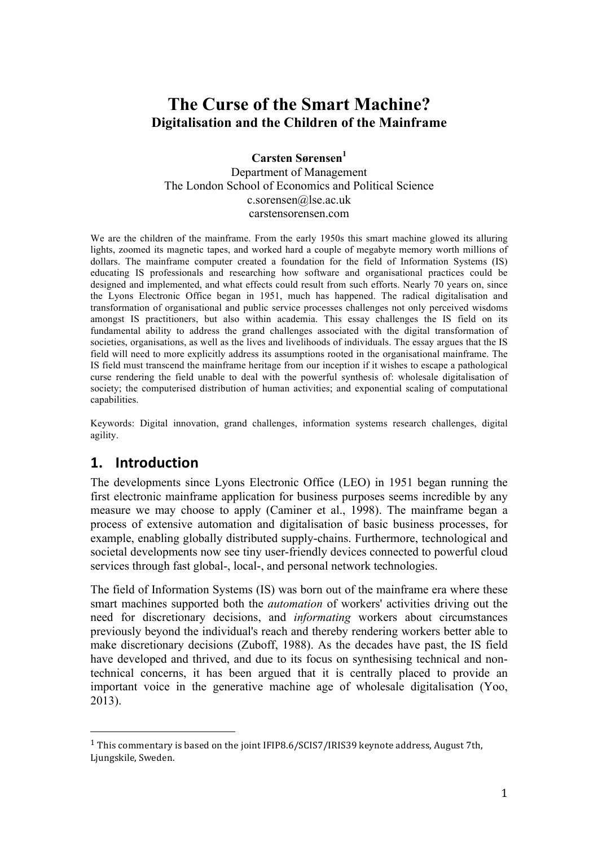# **The Curse of the Smart Machine? Digitalisation and the Children of the Mainframe**

**Carsten Sørensen<sup>1</sup>** Department of Management The London School of Economics and Political Science c.sorensen@lse.ac.uk carstensorensen.com

We are the children of the mainframe. From the early 1950s this smart machine glowed its alluring lights, zoomed its magnetic tapes, and worked hard a couple of megabyte memory worth millions of dollars. The mainframe computer created a foundation for the field of Information Systems (IS) educating IS professionals and researching how software and organisational practices could be designed and implemented, and what effects could result from such efforts. Nearly 70 years on, since the Lyons Electronic Office began in 1951, much has happened. The radical digitalisation and transformation of organisational and public service processes challenges not only perceived wisdoms amongst IS practitioners, but also within academia. This essay challenges the IS field on its fundamental ability to address the grand challenges associated with the digital transformation of societies, organisations, as well as the lives and livelihoods of individuals. The essay argues that the IS field will need to more explicitly address its assumptions rooted in the organisational mainframe. The IS field must transcend the mainframe heritage from our inception if it wishes to escape a pathological curse rendering the field unable to deal with the powerful synthesis of: wholesale digitalisation of society; the computerised distribution of human activities; and exponential scaling of computational capabilities.

Keywords: Digital innovation, grand challenges, information systems research challenges, digital agility.

## **1. Introduction**

 

The developments since Lyons Electronic Office (LEO) in 1951 began running the first electronic mainframe application for business purposes seems incredible by any measure we may choose to apply (Caminer et al., 1998). The mainframe began a process of extensive automation and digitalisation of basic business processes, for example, enabling globally distributed supply-chains. Furthermore, technological and societal developments now see tiny user-friendly devices connected to powerful cloud services through fast global-, local-, and personal network technologies.

The field of Information Systems (IS) was born out of the mainframe era where these smart machines supported both the *automation* of workers' activities driving out the need for discretionary decisions, and *informating* workers about circumstances previously beyond the individual's reach and thereby rendering workers better able to make discretionary decisions (Zuboff, 1988). As the decades have past, the IS field have developed and thrived, and due to its focus on synthesising technical and nontechnical concerns, it has been argued that it is centrally placed to provide an important voice in the generative machine age of wholesale digitalisation (Yoo, 2013).

<sup>&</sup>lt;sup>1</sup> This commentary is based on the joint IFIP8.6/SCIS7/IRIS39 keynote address, August 7th, Ljungskile, Sweden.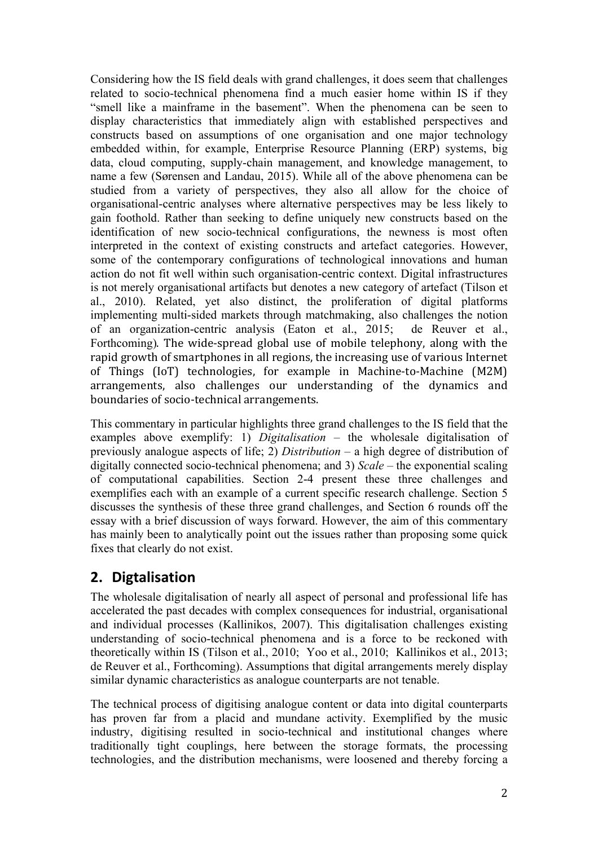Considering how the IS field deals with grand challenges, it does seem that challenges related to socio-technical phenomena find a much easier home within IS if they "smell like a mainframe in the basement". When the phenomena can be seen to display characteristics that immediately align with established perspectives and constructs based on assumptions of one organisation and one major technology embedded within, for example, Enterprise Resource Planning (ERP) systems, big data, cloud computing, supply-chain management, and knowledge management, to name a few (Sørensen and Landau, 2015). While all of the above phenomena can be studied from a variety of perspectives, they also all allow for the choice of organisational-centric analyses where alternative perspectives may be less likely to gain foothold. Rather than seeking to define uniquely new constructs based on the identification of new socio-technical configurations, the newness is most often interpreted in the context of existing constructs and artefact categories. However, some of the contemporary configurations of technological innovations and human action do not fit well within such organisation-centric context. Digital infrastructures is not merely organisational artifacts but denotes a new category of artefact (Tilson et al., 2010). Related, yet also distinct, the proliferation of digital platforms implementing multi-sided markets through matchmaking, also challenges the notion of an organization-centric analysis (Eaton et al., 2015; de Reuver et al., Forthcoming). The wide-spread global use of mobile telephony, along with the rapid growth of smartphones in all regions, the increasing use of various Internet of Things (IoT) technologies, for example in Machine-to-Machine (M2M) arrangements, also challenges our understanding of the dynamics and boundaries of socio-technical arrangements.

This commentary in particular highlights three grand challenges to the IS field that the examples above exemplify: 1) *Digitalisation* – the wholesale digitalisation of previously analogue aspects of life; 2) *Distribution –* a high degree of distribution of digitally connected socio-technical phenomena; and 3) *Scale* – the exponential scaling of computational capabilities. Section 2-4 present these three challenges and exemplifies each with an example of a current specific research challenge. Section 5 discusses the synthesis of these three grand challenges, and Section 6 rounds off the essay with a brief discussion of ways forward. However, the aim of this commentary has mainly been to analytically point out the issues rather than proposing some quick fixes that clearly do not exist.

# **2. Digtalisation**

The wholesale digitalisation of nearly all aspect of personal and professional life has accelerated the past decades with complex consequences for industrial, organisational and individual processes (Kallinikos, 2007). This digitalisation challenges existing understanding of socio-technical phenomena and is a force to be reckoned with theoretically within IS (Tilson et al., 2010; Yoo et al., 2010; Kallinikos et al., 2013; de Reuver et al., Forthcoming). Assumptions that digital arrangements merely display similar dynamic characteristics as analogue counterparts are not tenable.

The technical process of digitising analogue content or data into digital counterparts has proven far from a placid and mundane activity. Exemplified by the music industry, digitising resulted in socio-technical and institutional changes where traditionally tight couplings, here between the storage formats, the processing technologies, and the distribution mechanisms, were loosened and thereby forcing a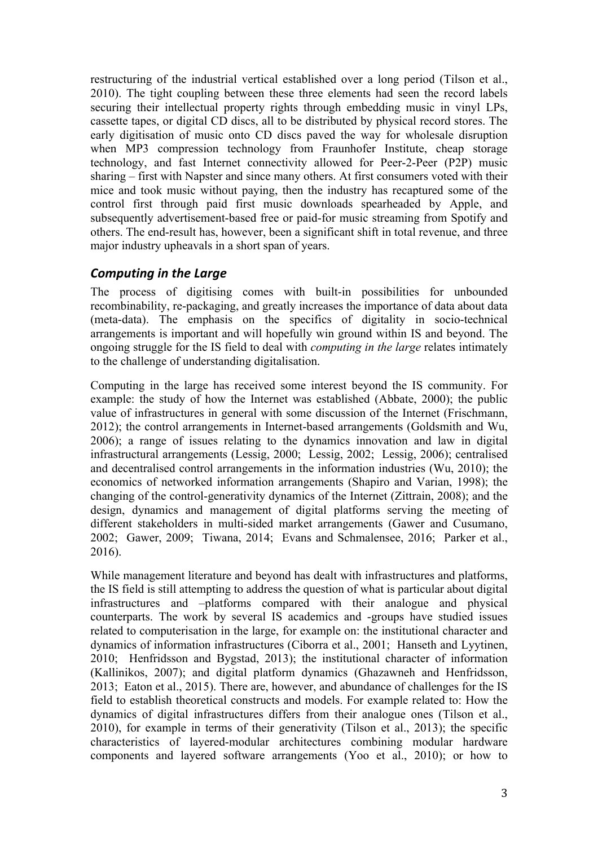restructuring of the industrial vertical established over a long period (Tilson et al., 2010). The tight coupling between these three elements had seen the record labels securing their intellectual property rights through embedding music in vinyl LPs, cassette tapes, or digital CD discs, all to be distributed by physical record stores. The early digitisation of music onto CD discs paved the way for wholesale disruption when MP3 compression technology from Fraunhofer Institute, cheap storage technology, and fast Internet connectivity allowed for Peer-2-Peer (P2P) music sharing – first with Napster and since many others. At first consumers voted with their mice and took music without paying, then the industry has recaptured some of the control first through paid first music downloads spearheaded by Apple, and subsequently advertisement-based free or paid-for music streaming from Spotify and others. The end-result has, however, been a significant shift in total revenue, and three major industry upheavals in a short span of years.

#### **Computing in the Large**

The process of digitising comes with built-in possibilities for unbounded recombinability, re-packaging, and greatly increases the importance of data about data (meta-data). The emphasis on the specifics of digitality in socio-technical arrangements is important and will hopefully win ground within IS and beyond. The ongoing struggle for the IS field to deal with *computing in the large* relates intimately to the challenge of understanding digitalisation.

Computing in the large has received some interest beyond the IS community. For example: the study of how the Internet was established (Abbate, 2000); the public value of infrastructures in general with some discussion of the Internet (Frischmann, 2012); the control arrangements in Internet-based arrangements (Goldsmith and Wu, 2006); a range of issues relating to the dynamics innovation and law in digital infrastructural arrangements (Lessig, 2000; Lessig, 2002; Lessig, 2006); centralised and decentralised control arrangements in the information industries (Wu, 2010); the economics of networked information arrangements (Shapiro and Varian, 1998); the changing of the control-generativity dynamics of the Internet (Zittrain, 2008); and the design, dynamics and management of digital platforms serving the meeting of different stakeholders in multi-sided market arrangements (Gawer and Cusumano, 2002; Gawer, 2009; Tiwana, 2014; Evans and Schmalensee, 2016; Parker et al., 2016).

While management literature and beyond has dealt with infrastructures and platforms, the IS field is still attempting to address the question of what is particular about digital infrastructures and –platforms compared with their analogue and physical counterparts. The work by several IS academics and -groups have studied issues related to computerisation in the large, for example on: the institutional character and dynamics of information infrastructures (Ciborra et al., 2001; Hanseth and Lyytinen, 2010; Henfridsson and Bygstad, 2013); the institutional character of information (Kallinikos, 2007); and digital platform dynamics (Ghazawneh and Henfridsson, 2013; Eaton et al., 2015). There are, however, and abundance of challenges for the IS field to establish theoretical constructs and models. For example related to: How the dynamics of digital infrastructures differs from their analogue ones (Tilson et al., 2010), for example in terms of their generativity (Tilson et al., 2013); the specific characteristics of layered-modular architectures combining modular hardware components and layered software arrangements (Yoo et al., 2010); or how to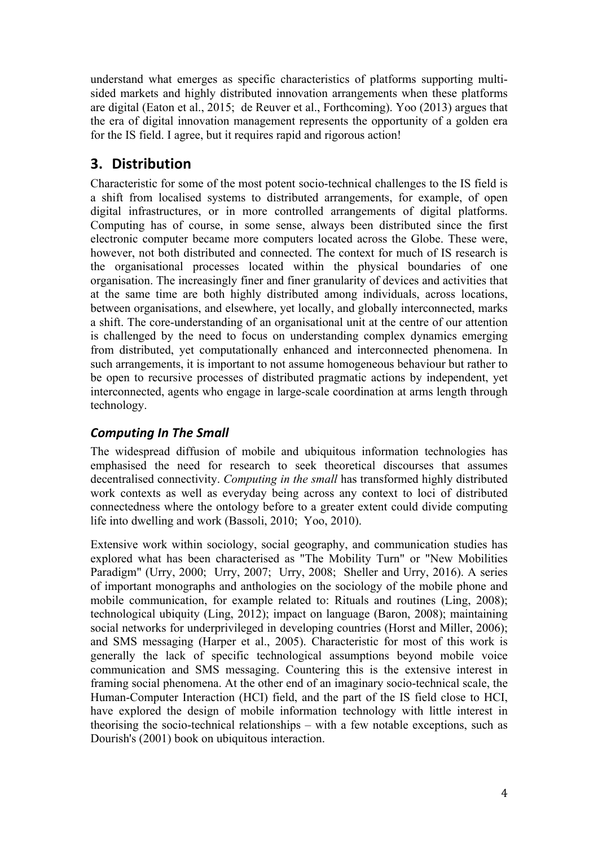understand what emerges as specific characteristics of platforms supporting multisided markets and highly distributed innovation arrangements when these platforms are digital (Eaton et al., 2015; de Reuver et al., Forthcoming). Yoo (2013) argues that the era of digital innovation management represents the opportunity of a golden era for the IS field. I agree, but it requires rapid and rigorous action!

# **3. Distribution**

Characteristic for some of the most potent socio-technical challenges to the IS field is a shift from localised systems to distributed arrangements, for example, of open digital infrastructures, or in more controlled arrangements of digital platforms. Computing has of course, in some sense, always been distributed since the first electronic computer became more computers located across the Globe. These were, however, not both distributed and connected. The context for much of IS research is the organisational processes located within the physical boundaries of one organisation. The increasingly finer and finer granularity of devices and activities that at the same time are both highly distributed among individuals, across locations, between organisations, and elsewhere, yet locally, and globally interconnected, marks a shift. The core-understanding of an organisational unit at the centre of our attention is challenged by the need to focus on understanding complex dynamics emerging from distributed, yet computationally enhanced and interconnected phenomena. In such arrangements, it is important to not assume homogeneous behaviour but rather to be open to recursive processes of distributed pragmatic actions by independent, yet interconnected, agents who engage in large-scale coordination at arms length through technology.

## *Computing In The Small*

The widespread diffusion of mobile and ubiquitous information technologies has emphasised the need for research to seek theoretical discourses that assumes decentralised connectivity. *Computing in the small* has transformed highly distributed work contexts as well as everyday being across any context to loci of distributed connectedness where the ontology before to a greater extent could divide computing life into dwelling and work (Bassoli, 2010; Yoo, 2010).

Extensive work within sociology, social geography, and communication studies has explored what has been characterised as "The Mobility Turn" or "New Mobilities Paradigm" (Urry, 2000; Urry, 2007; Urry, 2008; Sheller and Urry, 2016). A series of important monographs and anthologies on the sociology of the mobile phone and mobile communication, for example related to: Rituals and routines (Ling, 2008); technological ubiquity (Ling, 2012); impact on language (Baron, 2008); maintaining social networks for underprivileged in developing countries (Horst and Miller, 2006); and SMS messaging (Harper et al., 2005). Characteristic for most of this work is generally the lack of specific technological assumptions beyond mobile voice communication and SMS messaging. Countering this is the extensive interest in framing social phenomena. At the other end of an imaginary socio-technical scale, the Human-Computer Interaction (HCI) field, and the part of the IS field close to HCI, have explored the design of mobile information technology with little interest in theorising the socio-technical relationships – with a few notable exceptions, such as Dourish's (2001) book on ubiquitous interaction.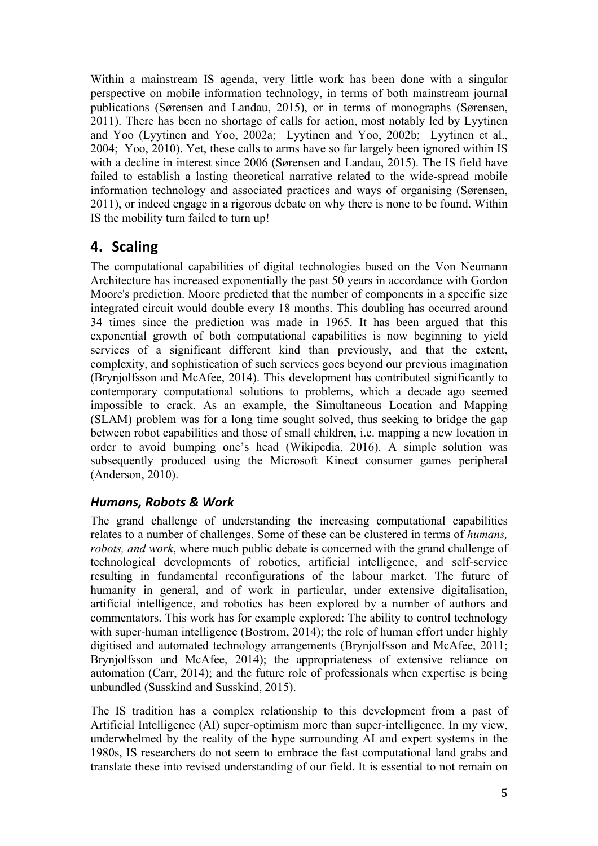Within a mainstream IS agenda, very little work has been done with a singular perspective on mobile information technology, in terms of both mainstream journal publications (Sørensen and Landau, 2015), or in terms of monographs (Sørensen, 2011). There has been no shortage of calls for action, most notably led by Lyytinen and Yoo (Lyytinen and Yoo, 2002a; Lyytinen and Yoo, 2002b; Lyytinen et al., 2004; Yoo, 2010). Yet, these calls to arms have so far largely been ignored within IS with a decline in interest since 2006 (Sørensen and Landau, 2015). The IS field have failed to establish a lasting theoretical narrative related to the wide-spread mobile information technology and associated practices and ways of organising (Sørensen, 2011), or indeed engage in a rigorous debate on why there is none to be found. Within IS the mobility turn failed to turn up!

# **4. Scaling**

The computational capabilities of digital technologies based on the Von Neumann Architecture has increased exponentially the past 50 years in accordance with Gordon Moore's prediction. Moore predicted that the number of components in a specific size integrated circuit would double every 18 months. This doubling has occurred around 34 times since the prediction was made in 1965. It has been argued that this exponential growth of both computational capabilities is now beginning to yield services of a significant different kind than previously, and that the extent, complexity, and sophistication of such services goes beyond our previous imagination (Brynjolfsson and McAfee, 2014). This development has contributed significantly to contemporary computational solutions to problems, which a decade ago seemed impossible to crack. As an example, the Simultaneous Location and Mapping (SLAM) problem was for a long time sought solved, thus seeking to bridge the gap between robot capabilities and those of small children, i.e. mapping a new location in order to avoid bumping one's head (Wikipedia, 2016). A simple solution was subsequently produced using the Microsoft Kinect consumer games peripheral (Anderson, 2010).

#### *Humans, Robots & Work*

The grand challenge of understanding the increasing computational capabilities relates to a number of challenges. Some of these can be clustered in terms of *humans, robots, and work*, where much public debate is concerned with the grand challenge of technological developments of robotics, artificial intelligence, and self-service resulting in fundamental reconfigurations of the labour market. The future of humanity in general, and of work in particular, under extensive digitalisation, artificial intelligence, and robotics has been explored by a number of authors and commentators. This work has for example explored: The ability to control technology with super-human intelligence (Bostrom, 2014); the role of human effort under highly digitised and automated technology arrangements (Brynjolfsson and McAfee, 2011; Brynjolfsson and McAfee, 2014); the appropriateness of extensive reliance on automation (Carr, 2014); and the future role of professionals when expertise is being unbundled (Susskind and Susskind, 2015).

The IS tradition has a complex relationship to this development from a past of Artificial Intelligence (AI) super-optimism more than super-intelligence. In my view, underwhelmed by the reality of the hype surrounding AI and expert systems in the 1980s, IS researchers do not seem to embrace the fast computational land grabs and translate these into revised understanding of our field. It is essential to not remain on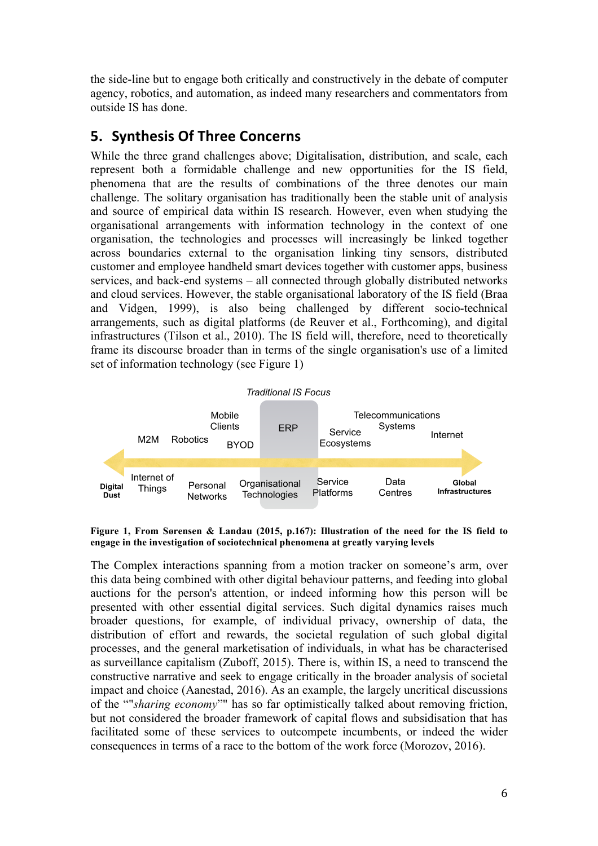the side-line but to engage both critically and constructively in the debate of computer agency, robotics, and automation, as indeed many researchers and commentators from outside IS has done.

# **5. Synthesis Of Three Concerns**

While the three grand challenges above; Digitalisation, distribution, and scale, each represent both a formidable challenge and new opportunities for the IS field, phenomena that are the results of combinations of the three denotes our main challenge. The solitary organisation has traditionally been the stable unit of analysis and source of empirical data within IS research. However, even when studying the organisational arrangements with information technology in the context of one organisation, the technologies and processes will increasingly be linked together across boundaries external to the organisation linking tiny sensors, distributed customer and employee handheld smart devices together with customer apps, business services, and back-end systems – all connected through globally distributed networks and cloud services. However, the stable organisational laboratory of the IS field (Braa and Vidgen, 1999), is also being challenged by different socio-technical arrangements, such as digital platforms (de Reuver et al., Forthcoming), and digital infrastructures (Tilson et al., 2010). The IS field will, therefore, need to theoretically frame its discourse broader than in terms of the single organisation's use of a limited set of information technology (see Figure 1)



**Figure 1, From Sørensen & Landau (2015, p.167): Illustration of the need for the IS field to engage in the investigation of sociotechnical phenomena at greatly varying levels**

The Complex interactions spanning from a motion tracker on someone's arm, over this data being combined with other digital behaviour patterns, and feeding into global auctions for the person's attention, or indeed informing how this person will be presented with other essential digital services. Such digital dynamics raises much broader questions, for example, of individual privacy, ownership of data, the distribution of effort and rewards, the societal regulation of such global digital processes, and the general marketisation of individuals, in what has be characterised as surveillance capitalism (Zuboff, 2015). There is, within IS, a need to transcend the constructive narrative and seek to engage critically in the broader analysis of societal impact and choice (Aanestad, 2016). As an example, the largely uncritical discussions of the ""*sharing economy*"" has so far optimistically talked about removing friction, but not considered the broader framework of capital flows and subsidisation that has facilitated some of these services to outcompete incumbents, or indeed the wider consequences in terms of a race to the bottom of the work force (Morozov, 2016).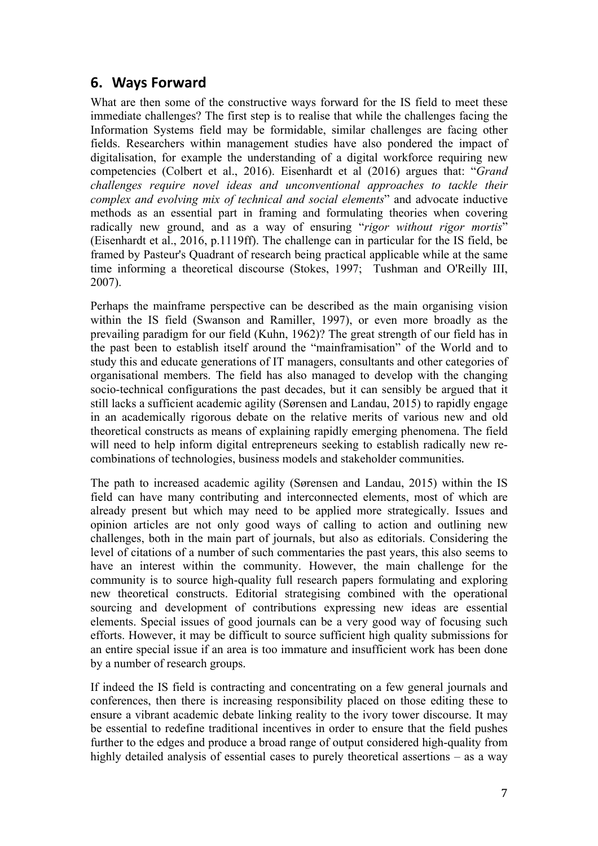## **6. Ways Forward**

What are then some of the constructive ways forward for the IS field to meet these immediate challenges? The first step is to realise that while the challenges facing the Information Systems field may be formidable, similar challenges are facing other fields. Researchers within management studies have also pondered the impact of digitalisation, for example the understanding of a digital workforce requiring new competencies (Colbert et al., 2016). Eisenhardt et al (2016) argues that: "*Grand challenges require novel ideas and unconventional approaches to tackle their complex and evolving mix of technical and social elements*" and advocate inductive methods as an essential part in framing and formulating theories when covering radically new ground, and as a way of ensuring "*rigor without rigor mortis*" (Eisenhardt et al., 2016, p.1119ff). The challenge can in particular for the IS field, be framed by Pasteur's Quadrant of research being practical applicable while at the same time informing a theoretical discourse (Stokes, 1997; Tushman and O'Reilly III, 2007).

Perhaps the mainframe perspective can be described as the main organising vision within the IS field (Swanson and Ramiller, 1997), or even more broadly as the prevailing paradigm for our field (Kuhn, 1962)? The great strength of our field has in the past been to establish itself around the "mainframisation" of the World and to study this and educate generations of IT managers, consultants and other categories of organisational members. The field has also managed to develop with the changing socio-technical configurations the past decades, but it can sensibly be argued that it still lacks a sufficient academic agility (Sørensen and Landau, 2015) to rapidly engage in an academically rigorous debate on the relative merits of various new and old theoretical constructs as means of explaining rapidly emerging phenomena. The field will need to help inform digital entrepreneurs seeking to establish radically new recombinations of technologies, business models and stakeholder communities. 

The path to increased academic agility (Sørensen and Landau, 2015) within the IS field can have many contributing and interconnected elements, most of which are already present but which may need to be applied more strategically. Issues and opinion articles are not only good ways of calling to action and outlining new challenges, both in the main part of journals, but also as editorials. Considering the level of citations of a number of such commentaries the past years, this also seems to have an interest within the community. However, the main challenge for the community is to source high-quality full research papers formulating and exploring new theoretical constructs. Editorial strategising combined with the operational sourcing and development of contributions expressing new ideas are essential elements. Special issues of good journals can be a very good way of focusing such efforts. However, it may be difficult to source sufficient high quality submissions for an entire special issue if an area is too immature and insufficient work has been done by a number of research groups.

If indeed the IS field is contracting and concentrating on a few general journals and conferences, then there is increasing responsibility placed on those editing these to ensure a vibrant academic debate linking reality to the ivory tower discourse. It may be essential to redefine traditional incentives in order to ensure that the field pushes further to the edges and produce a broad range of output considered high-quality from highly detailed analysis of essential cases to purely theoretical assertions – as a way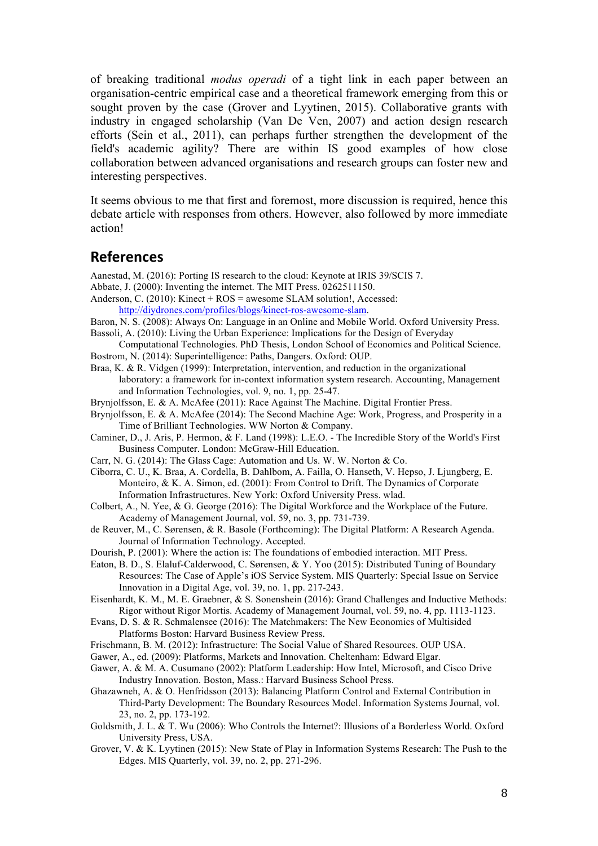of breaking traditional *modus operadi* of a tight link in each paper between an organisation-centric empirical case and a theoretical framework emerging from this or sought proven by the case (Grover and Lyytinen, 2015). Collaborative grants with industry in engaged scholarship (Van De Ven, 2007) and action design research efforts (Sein et al., 2011), can perhaps further strengthen the development of the field's academic agility? There are within IS good examples of how close collaboration between advanced organisations and research groups can foster new and interesting perspectives.

It seems obvious to me that first and foremost, more discussion is required, hence this debate article with responses from others. However, also followed by more immediate action!

#### **References**

Aanestad, M. (2016): Porting IS research to the cloud: Keynote at IRIS 39/SCIS 7.

Abbate, J. (2000): Inventing the internet. The MIT Press. 0262511150.

Anderson, C. (2010): Kinect + ROS = awesome SLAM solution!, Accessed: http://diydrones.com/profiles/blogs/kinect-ros-awesome-slam.

- 
- Baron, N. S. (2008): Always On: Language in an Online and Mobile World. Oxford University Press. Bassoli, A. (2010): Living the Urban Experience: Implications for the Design of Everyday
- Computational Technologies. PhD Thesis, London School of Economics and Political Science. Bostrom, N. (2014): Superintelligence: Paths, Dangers. Oxford: OUP.
- Braa, K. & R. Vidgen (1999): Interpretation, intervention, and reduction in the organizational laboratory: a framework for in-context information system research. Accounting, Management and Information Technologies, vol. 9, no. 1, pp. 25-47.
- Brynjolfsson, E. & A. McAfee (2011): Race Against The Machine. Digital Frontier Press.
- Brynjolfsson, E. & A. McAfee (2014): The Second Machine Age: Work, Progress, and Prosperity in a Time of Brilliant Technologies. WW Norton & Company.
- Caminer, D., J. Aris, P. Hermon, & F. Land (1998): L.E.O. The Incredible Story of the World's First Business Computer. London: McGraw-Hill Education.
- Carr, N. G. (2014): The Glass Cage: Automation and Us. W. W. Norton & Co.
- Ciborra, C. U., K. Braa, A. Cordella, B. Dahlbom, A. Failla, O. Hanseth, V. Hepso, J. Ljungberg, E. Monteiro, & K. A. Simon, ed. (2001): From Control to Drift. The Dynamics of Corporate Information Infrastructures. New York: Oxford University Press. wlad.
- Colbert, A., N. Yee, & G. George (2016): The Digital Workforce and the Workplace of the Future. Academy of Management Journal, vol. 59, no. 3, pp. 731-739.
- de Reuver, M., C. Sørensen, & R. Basole (Forthcoming): The Digital Platform: A Research Agenda. Journal of Information Technology. Accepted.
- Dourish, P. (2001): Where the action is: The foundations of embodied interaction. MIT Press.
- Eaton, B. D., S. Elaluf-Calderwood, C. Sørensen, & Y. Yoo (2015): Distributed Tuning of Boundary Resources: The Case of Apple's iOS Service System. MIS Quarterly: Special Issue on Service Innovation in a Digital Age, vol. 39, no. 1, pp. 217-243.
- Eisenhardt, K. M., M. E. Graebner, & S. Sonenshein (2016): Grand Challenges and Inductive Methods: Rigor without Rigor Mortis. Academy of Management Journal, vol. 59, no. 4, pp. 1113-1123.
- Evans, D. S. & R. Schmalensee (2016): The Matchmakers: The New Economics of Multisided Platforms Boston: Harvard Business Review Press.
- Frischmann, B. M. (2012): Infrastructure: The Social Value of Shared Resources. OUP USA.
- Gawer, A., ed. (2009): Platforms, Markets and Innovation. Cheltenham: Edward Elgar.
- Gawer, A. & M. A. Cusumano (2002): Platform Leadership: How Intel, Microsoft, and Cisco Drive Industry Innovation. Boston, Mass.: Harvard Business School Press.
- Ghazawneh, A. & O. Henfridsson (2013): Balancing Platform Control and External Contribution in Third-Party Development: The Boundary Resources Model. Information Systems Journal, vol. 23, no. 2, pp. 173-192.
- Goldsmith, J. L. & T. Wu (2006): Who Controls the Internet?: Illusions of a Borderless World. Oxford University Press, USA.
- Grover, V. & K. Lyytinen (2015): New State of Play in Information Systems Research: The Push to the Edges. MIS Quarterly, vol. 39, no. 2, pp. 271-296.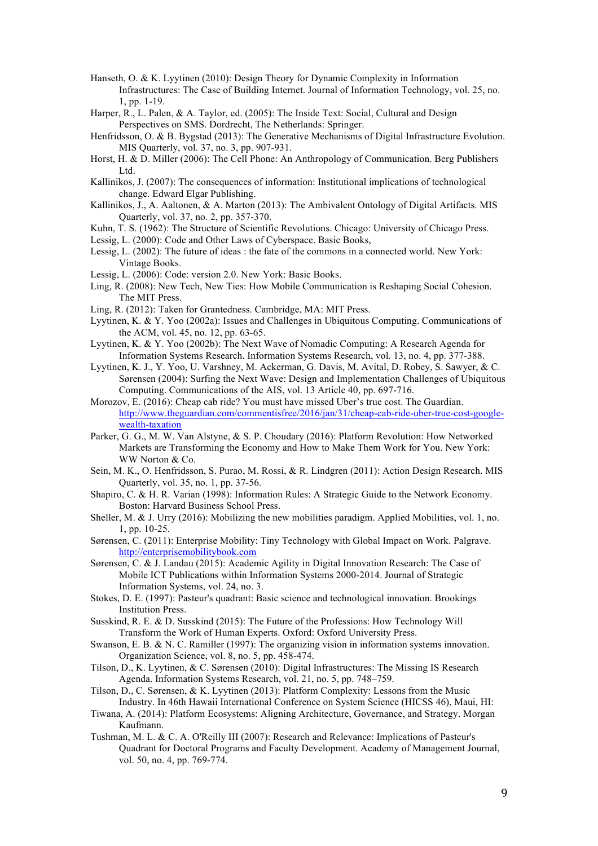- Hanseth, O. & K. Lyytinen (2010): Design Theory for Dynamic Complexity in Information Infrastructures: The Case of Building Internet. Journal of Information Technology, vol. 25, no. 1, pp. 1-19.
- Harper, R., L. Palen, & A. Taylor, ed. (2005): The Inside Text: Social, Cultural and Design Perspectives on SMS. Dordrecht, The Netherlands: Springer.
- Henfridsson, O. & B. Bygstad (2013): The Generative Mechanisms of Digital Infrastructure Evolution. MIS Quarterly, vol. 37, no. 3, pp. 907-931.
- Horst, H. & D. Miller (2006): The Cell Phone: An Anthropology of Communication. Berg Publishers Ltd.
- Kallinikos, J. (2007): The consequences of information: Institutional implications of technological change. Edward Elgar Publishing.
- Kallinikos, J., A. Aaltonen, & A. Marton (2013): The Ambivalent Ontology of Digital Artifacts. MIS Quarterly, vol. 37, no. 2, pp. 357-370.
- Kuhn, T. S. (1962): The Structure of Scientific Revolutions. Chicago: University of Chicago Press.
- Lessig, L. (2000): Code and Other Laws of Cyberspace. Basic Books,
- Lessig, L. (2002): The future of ideas : the fate of the commons in a connected world. New York: Vintage Books.
- Lessig, L. (2006): Code: version 2.0. New York: Basic Books.
- Ling, R. (2008): New Tech, New Ties: How Mobile Communication is Reshaping Social Cohesion. The MIT Press.
- Ling, R. (2012): Taken for Grantedness. Cambridge, MA: MIT Press.
- Lyytinen, K. & Y. Yoo (2002a): Issues and Challenges in Ubiquitous Computing. Communications of the ACM, vol. 45, no. 12, pp. 63-65.
- Lyytinen, K. & Y. Yoo (2002b): The Next Wave of Nomadic Computing: A Research Agenda for Information Systems Research. Information Systems Research, vol. 13, no. 4, pp. 377-388.
- Lyytinen, K. J., Y. Yoo, U. Varshney, M. Ackerman, G. Davis, M. Avital, D. Robey, S. Sawyer, & C. Sørensen (2004): Surfing the Next Wave: Design and Implementation Challenges of Ubiquitous Computing. Communications of the AIS, vol. 13 Article 40, pp. 697-716.
- Morozov, E. (2016): Cheap cab ride? You must have missed Uber's true cost. The Guardian. http://www.theguardian.com/commentisfree/2016/jan/31/cheap-cab-ride-uber-true-cost-googlewealth-taxation
- Parker, G. G., M. W. Van Alstyne, & S. P. Choudary (2016): Platform Revolution: How Networked Markets are Transforming the Economy and How to Make Them Work for You. New York: WW Norton & Co.
- Sein, M. K., O. Henfridsson, S. Purao, M. Rossi, & R. Lindgren (2011): Action Design Research. MIS Quarterly, vol. 35, no. 1, pp. 37-56.
- Shapiro, C. & H. R. Varian (1998): Information Rules: A Strategic Guide to the Network Economy. Boston: Harvard Business School Press.
- Sheller, M. & J. Urry (2016): Mobilizing the new mobilities paradigm. Applied Mobilities, vol. 1, no. 1, pp. 10-25.
- Sørensen, C. (2011): Enterprise Mobility: Tiny Technology with Global Impact on Work. Palgrave. http://enterprisemobilitybook.com
- Sørensen, C. & J. Landau (2015): Academic Agility in Digital Innovation Research: The Case of Mobile ICT Publications within Information Systems 2000-2014. Journal of Strategic Information Systems, vol. 24, no. 3.
- Stokes, D. E. (1997): Pasteur's quadrant: Basic science and technological innovation. Brookings Institution Press.
- Susskind, R. E. & D. Susskind (2015): The Future of the Professions: How Technology Will Transform the Work of Human Experts. Oxford: Oxford University Press.
- Swanson, E. B. & N. C. Ramiller (1997): The organizing vision in information systems innovation. Organization Science, vol. 8, no. 5, pp. 458-474.
- Tilson, D., K. Lyytinen, & C. Sørensen (2010): Digital Infrastructures: The Missing IS Research Agenda. Information Systems Research, vol. 21, no. 5, pp. 748–759.
- Tilson, D., C. Sørensen, & K. Lyytinen (2013): Platform Complexity: Lessons from the Music Industry. In 46th Hawaii International Conference on System Science (HICSS 46), Maui, HI:
- Tiwana, A. (2014): Platform Ecosystems: Aligning Architecture, Governance, and Strategy. Morgan Kaufmann.
- Tushman, M. L. & C. A. O'Reilly III (2007): Research and Relevance: Implications of Pasteur's Quadrant for Doctoral Programs and Faculty Development. Academy of Management Journal, vol. 50, no. 4, pp. 769-774.